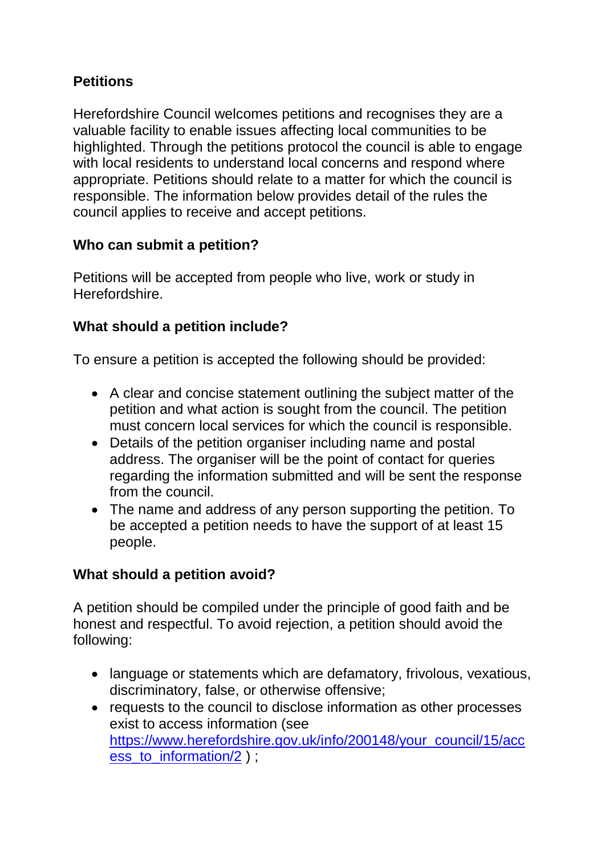# **Petitions**

Herefordshire Council welcomes petitions and recognises they are a valuable facility to enable issues affecting local communities to be highlighted. Through the petitions protocol the council is able to engage with local residents to understand local concerns and respond where appropriate. Petitions should relate to a matter for which the council is responsible. The information below provides detail of the rules the council applies to receive and accept petitions.

## **Who can submit a petition?**

Petitions will be accepted from people who live, work or study in Herefordshire.

# **What should a petition include?**

To ensure a petition is accepted the following should be provided:

- A clear and concise statement outlining the subject matter of the petition and what action is sought from the council. The petition must concern local services for which the council is responsible.
- Details of the petition organiser including name and postal address. The organiser will be the point of contact for queries regarding the information submitted and will be sent the response from the council.
- The name and address of any person supporting the petition. To be accepted a petition needs to have the support of at least 15 people.

# **What should a petition avoid?**

A petition should be compiled under the principle of good faith and be honest and respectful. To avoid rejection, a petition should avoid the following:

- language or statements which are defamatory, frivolous, vexatious, discriminatory, false, or otherwise offensive;
- requests to the council to disclose information as other processes exist to access information (see [https://www.herefordshire.gov.uk/info/200148/your\\_council/15/acc](https://www.herefordshire.gov.uk/info/200148/your_council/15/access_to_information/2) [ess\\_to\\_information/2](https://www.herefordshire.gov.uk/info/200148/your_council/15/access_to_information/2) ) ;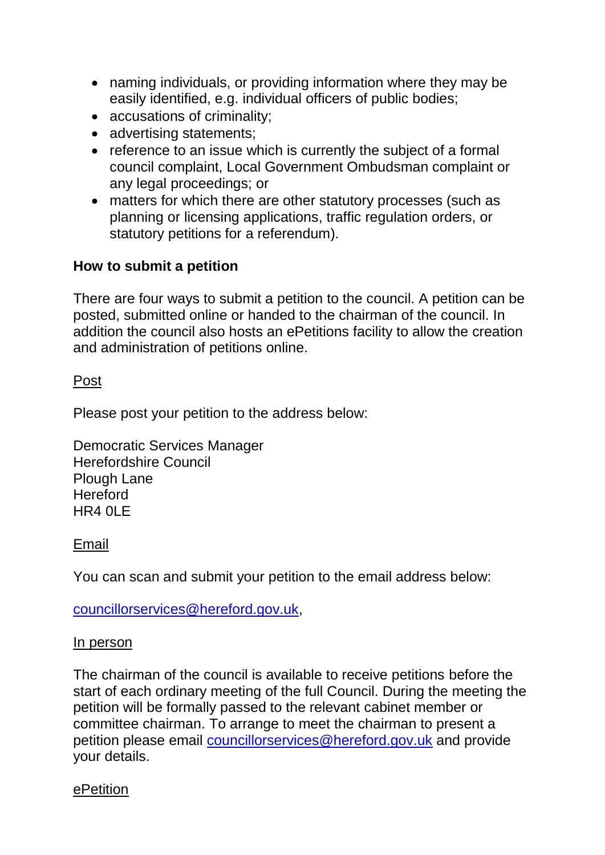- naming individuals, or providing information where they may be easily identified, e.g. individual officers of public bodies;
- accusations of criminality;
- advertising statements;
- reference to an issue which is currently the subject of a formal council complaint, Local Government Ombudsman complaint or any legal proceedings; or
- matters for which there are other statutory processes (such as planning or licensing applications, traffic regulation orders, or statutory petitions for a referendum).

## **How to submit a petition**

There are four ways to submit a petition to the council. A petition can be posted, submitted online or handed to the chairman of the council. In addition the council also hosts an ePetitions facility to allow the creation and administration of petitions online.

### Post

Please post your petition to the address below:

Democratic Services Manager Herefordshire Council Plough Lane **Hereford** HR4 0LE

#### Email

You can scan and submit your petition to the email address below:

[councillorservices@hereford.gov.uk,](mailto:councillorservices@hereford.gov.uk)

#### In person

The chairman of the council is available to receive petitions before the start of each ordinary meeting of the full Council. During the meeting the petition will be formally passed to the relevant cabinet member or committee chairman. To arrange to meet the chairman to present a petition please email [councillorservices@hereford.gov.uk](mailto:councillorservices@hereford.gov.uk) and provide your details.

#### ePetition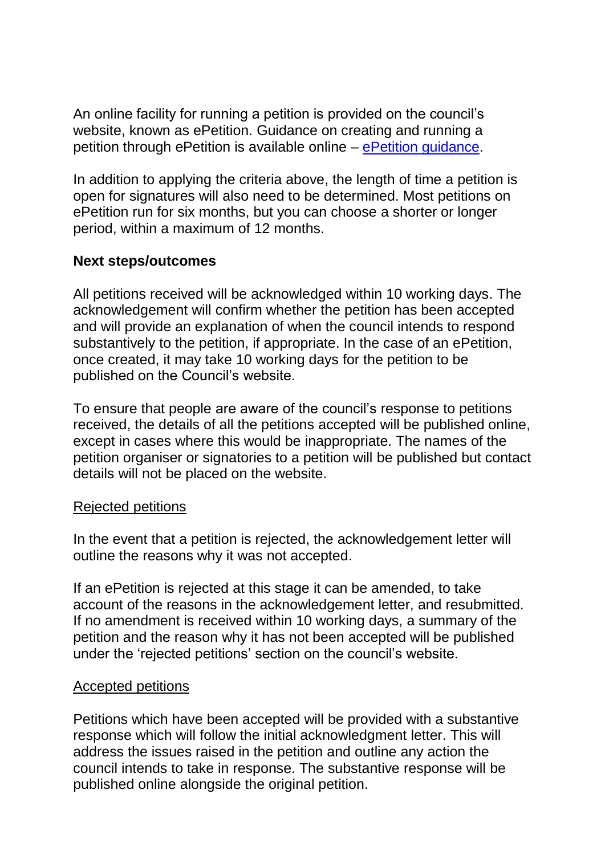An online facility for running a petition is provided on the council's website, known as ePetition. Guidance on creating and running a petition through ePetition is available online – [ePetition guidance.](http://councillors.herefordshire.gov.uk/mgePetitionListDisplay.aspx?bcr=1)

In addition to applying the criteria above, the length of time a petition is open for signatures will also need to be determined. Most petitions on ePetition run for six months, but you can choose a shorter or longer period, within a maximum of 12 months.

### **Next steps/outcomes**

All petitions received will be acknowledged within 10 working days. The acknowledgement will confirm whether the petition has been accepted and will provide an explanation of when the council intends to respond substantively to the petition, if appropriate. In the case of an ePetition, once created, it may take 10 working days for the petition to be published on the Council's website.

To ensure that people are aware of the council's response to petitions received, the details of all the petitions accepted will be published online, except in cases where this would be inappropriate. The names of the petition organiser or signatories to a petition will be published but contact details will not be placed on the website.

#### Rejected petitions

In the event that a petition is rejected, the acknowledgement letter will outline the reasons why it was not accepted.

If an ePetition is rejected at this stage it can be amended, to take account of the reasons in the acknowledgement letter, and resubmitted. If no amendment is received within 10 working days, a summary of the petition and the reason why it has not been accepted will be published under the 'rejected petitions' section on the council's website.

#### Accepted petitions

Petitions which have been accepted will be provided with a substantive response which will follow the initial acknowledgment letter. This will address the issues raised in the petition and outline any action the council intends to take in response. The substantive response will be published online alongside the original petition.